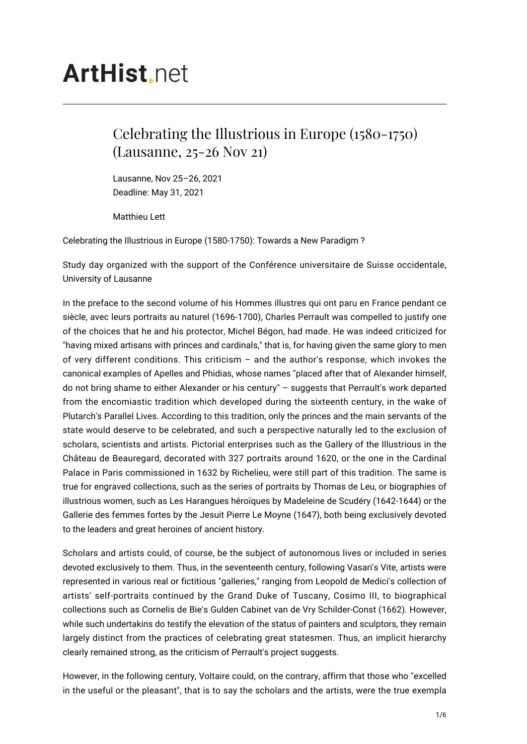## **ArtHist** net

## Celebrating the Illustrious in Europe (1580-1750) (Lausanne, 25-26 Nov 21)

Lausanne, Nov 25–26, 2021 Deadline: May 31, 2021

Matthieu Lett

Celebrating the Illustrious in Europe (1580-1750): Towards a New Paradigm ?

Study day organized with the support of the Conférence universitaire de Suisse occidentale, University of Lausanne

In the preface to the second volume of his Hommes illustres qui ont paru en France pendant ce siècle, avec leurs portraits au naturel (1696-1700), Charles Perrault was compelled to justify one of the choices that he and his protector, Michel Bégon, had made. He was indeed criticized for "having mixed artisans with princes and cardinals," that is, for having given the same glory to men of very different conditions. This criticism – and the author's response, which invokes the canonical examples of Apelles and Phidias, whose names "placed after that of Alexander himself, do not bring shame to either Alexander or his century" – suggests that Perrault's work departed from the encomiastic tradition which developed during the sixteenth century, in the wake of Plutarch's Parallel Lives. According to this tradition, only the princes and the main servants of the state would deserve to be celebrated, and such a perspective naturally led to the exclusion of scholars, scientists and artists. Pictorial enterprises such as the Gallery of the Illustrious in the Château de Beauregard, decorated with 327 portraits around 1620, or the one in the Cardinal Palace in Paris commissioned in 1632 by Richelieu, were still part of this tradition. The same is true for engraved collections, such as the series of portraits by Thomas de Leu, or biographies of illustrious women, such as Les Harangues héroïques by Madeleine de Scudéry (1642-1644) or the Gallerie des femmes fortes by the Jesuit Pierre Le Moyne (1647), both being exclusively devoted to the leaders and great heroines of ancient history.

Scholars and artists could, of course, be the subject of autonomous lives or included in series devoted exclusively to them. Thus, in the seventeenth century, following Vasari's Vite, artists were represented in various real or fictitious "galleries," ranging from Leopold de Medici's collection of artists' self-portraits continued by the Grand Duke of Tuscany, Cosimo III, to biographical collections such as Cornelis de Bie's Gulden Cabinet van de Vry Schilder-Const (1662). However, while such undertakins do testify the elevation of the status of painters and sculptors, they remain largely distinct from the practices of celebrating great statesmen. Thus, an implicit hierarchy clearly remained strong, as the criticism of Perrault's project suggests.

However, in the following century, Voltaire could, on the contrary, affirm that those who "excelled in the useful or the pleasant", that is to say the scholars and the artists, were the true exempla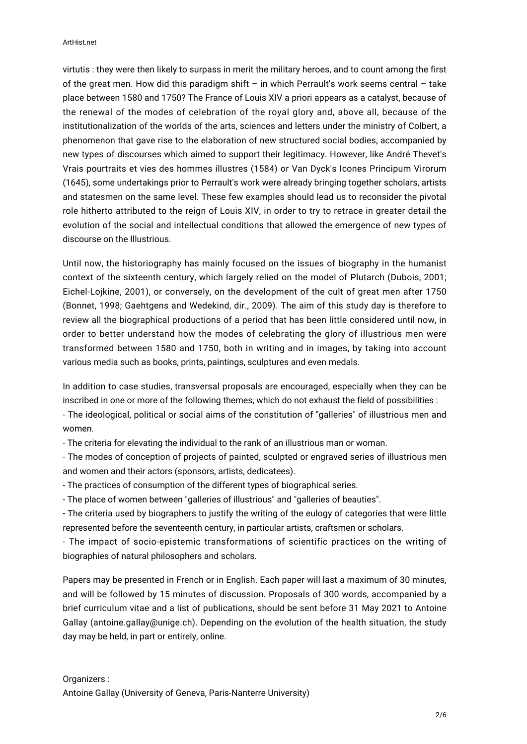virtutis : they were then likely to surpass in merit the military heroes, and to count among the first of the great men. How did this paradigm shift – in which Perrault's work seems central – take place between 1580 and 1750? The France of Louis XIV a priori appears as a catalyst, because of the renewal of the modes of celebration of the royal glory and, above all, because of the institutionalization of the worlds of the arts, sciences and letters under the ministry of Colbert, a phenomenon that gave rise to the elaboration of new structured social bodies, accompanied by new types of discourses which aimed to support their legitimacy. However, like André Thevet's Vrais pourtraits et vies des hommes illustres (1584) or Van Dyck's Icones Principum Virorum (1645), some undertakings prior to Perrault's work were already bringing together scholars, artists and statesmen on the same level. These few examples should lead us to reconsider the pivotal role hitherto attributed to the reign of Louis XIV, in order to try to retrace in greater detail the evolution of the social and intellectual conditions that allowed the emergence of new types of discourse on the Illustrious.

Until now, the historiography has mainly focused on the issues of biography in the humanist context of the sixteenth century, which largely relied on the model of Plutarch (Dubois, 2001; Eichel-Lojkine, 2001), or conversely, on the development of the cult of great men after 1750 (Bonnet, 1998; Gaehtgens and Wedekind, dir., 2009). The aim of this study day is therefore to review all the biographical productions of a period that has been little considered until now, in order to better understand how the modes of celebrating the glory of illustrious men were transformed between 1580 and 1750, both in writing and in images, by taking into account various media such as books, prints, paintings, sculptures and even medals.

In addition to case studies, transversal proposals are encouraged, especially when they can be inscribed in one or more of the following themes, which do not exhaust the field of possibilities :

- The ideological, political or social aims of the constitution of "galleries" of illustrious men and women.

- The criteria for elevating the individual to the rank of an illustrious man or woman.

- The modes of conception of projects of painted, sculpted or engraved series of illustrious men and women and their actors (sponsors, artists, dedicatees).

- The practices of consumption of the different types of biographical series.

- The place of women between "galleries of illustrious" and "galleries of beauties".

- The criteria used by biographers to justify the writing of the eulogy of categories that were little represented before the seventeenth century, in particular artists, craftsmen or scholars.

- The impact of socio-epistemic transformations of scientific practices on the writing of biographies of natural philosophers and scholars.

Papers may be presented in French or in English. Each paper will last a maximum of 30 minutes, and will be followed by 15 minutes of discussion. Proposals of 300 words, accompanied by a brief curriculum vitae and a list of publications, should be sent before 31 May 2021 to Antoine Gallay (antoine.gallay@unige.ch). Depending on the evolution of the health situation, the study day may be held, in part or entirely, online.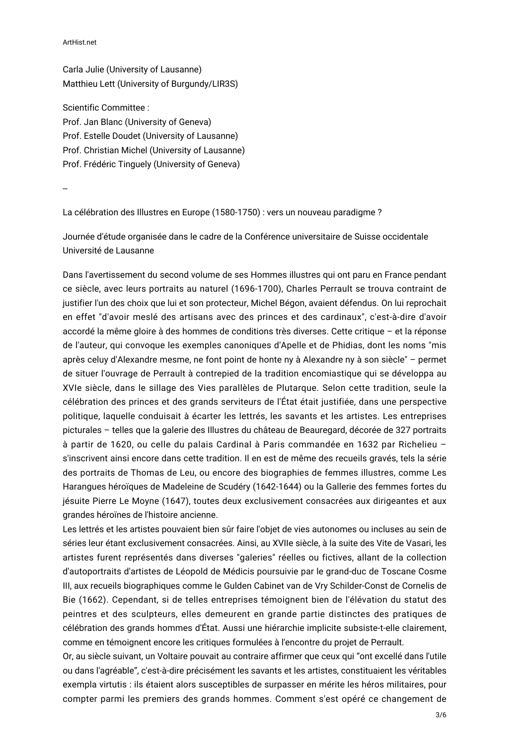ArtHist.net

Carla Julie (University of Lausanne) Matthieu Lett (University of Burgundy/LIR3S)

Scientific Committee : Prof. Jan Blanc (University of Geneva) Prof. Estelle Doudet (University of Lausanne) Prof. Christian Michel (University of Lausanne) Prof. Frédéric Tinguely (University of Geneva)

--

La célébration des Illustres en Europe (1580-1750) : vers un nouveau paradigme ?

Journée d'étude organisée dans le cadre de la Conférence universitaire de Suisse occidentale Université de Lausanne

Dans l'avertissement du second volume de ses Hommes illustres qui ont paru en France pendant ce siècle, avec leurs portraits au naturel (1696-1700), Charles Perrault se trouva contraint de justifier l'un des choix que lui et son protecteur, Michel Bégon, avaient défendus. On lui reprochait en effet "d'avoir meslé des artisans avec des princes et des cardinaux", c'est-à-dire d'avoir accordé la même gloire à des hommes de conditions très diverses. Cette critique – et la réponse de l'auteur, qui convoque les exemples canoniques d'Apelle et de Phidias, dont les noms "mis après celuy d'Alexandre mesme, ne font point de honte ny à Alexandre ny à son siècle" – permet de situer l'ouvrage de Perrault à contrepied de la tradition encomiastique qui se développa au XVIe siècle, dans le sillage des Vies parallèles de Plutarque. Selon cette tradition, seule la célébration des princes et des grands serviteurs de l'État était justifiée, dans une perspective politique, laquelle conduisait à écarter les lettrés, les savants et les artistes. Les entreprises picturales – telles que la galerie des Illustres du château de Beauregard, décorée de 327 portraits à partir de 1620, ou celle du palais Cardinal à Paris commandée en 1632 par Richelieu – s'inscrivent ainsi encore dans cette tradition. Il en est de même des recueils gravés, tels la série des portraits de Thomas de Leu, ou encore des biographies de femmes illustres, comme Les Harangues héroïques de Madeleine de Scudéry (1642-1644) ou la Gallerie des femmes fortes du jésuite Pierre Le Moyne (1647), toutes deux exclusivement consacrées aux dirigeantes et aux grandes héroïnes de l'histoire ancienne.

Les lettrés et les artistes pouvaient bien sûr faire l'objet de vies autonomes ou incluses au sein de séries leur étant exclusivement consacrées. Ainsi, au XVIIe siècle, à la suite des Vite de Vasari, les artistes furent représentés dans diverses "galeries" réelles ou fictives, allant de la collection d'autoportraits d'artistes de Léopold de Médicis poursuivie par le grand-duc de Toscane Cosme III, aux recueils biographiques comme le Gulden Cabinet van de Vry Schilder-Const de Cornelis de Bie (1662). Cependant, si de telles entreprises témoignent bien de l'élévation du statut des peintres et des sculpteurs, elles demeurent en grande partie distinctes des pratiques de célébration des grands hommes d'État. Aussi une hiérarchie implicite subsiste-t-elle clairement, comme en témoignent encore les critiques formulées à l'encontre du projet de Perrault.

Or, au siècle suivant, un Voltaire pouvait au contraire affirmer que ceux qui "ont excellé dans l'utile ou dans l'agréable", c'est-à-dire précisément les savants et les artistes, constituaient les véritables exempla virtutis : ils étaient alors susceptibles de surpasser en mérite les héros militaires, pour compter parmi les premiers des grands hommes. Comment s'est opéré ce changement de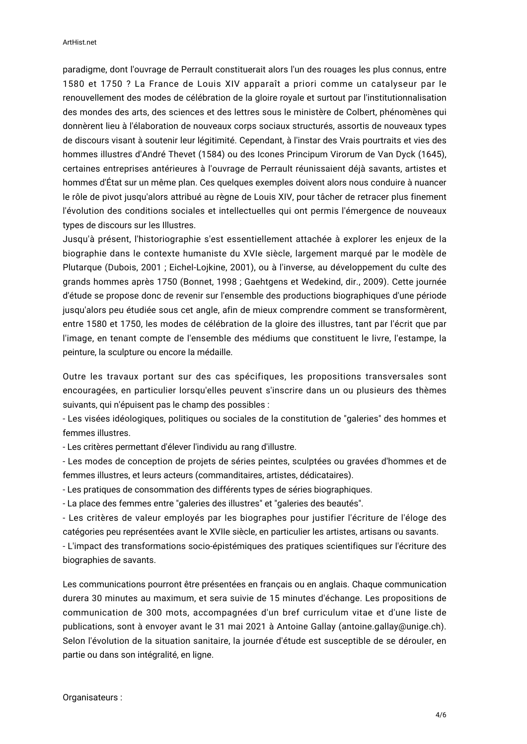paradigme, dont l'ouvrage de Perrault constituerait alors l'un des rouages les plus connus, entre 1580 et 1750 ? La France de Louis XIV apparaît a priori comme un catalyseur par le renouvellement des modes de célébration de la gloire royale et surtout par l'institutionnalisation des mondes des arts, des sciences et des lettres sous le ministère de Colbert, phénomènes qui donnèrent lieu à l'élaboration de nouveaux corps sociaux structurés, assortis de nouveaux types de discours visant à soutenir leur légitimité. Cependant, à l'instar des Vrais pourtraits et vies des hommes illustres d'André Thevet (1584) ou des Icones Principum Virorum de Van Dyck (1645), certaines entreprises antérieures à l'ouvrage de Perrault réunissaient déjà savants, artistes et hommes d'État sur un même plan. Ces quelques exemples doivent alors nous conduire à nuancer le rôle de pivot jusqu'alors attribué au règne de Louis XIV, pour tâcher de retracer plus finement l'évolution des conditions sociales et intellectuelles qui ont permis l'émergence de nouveaux types de discours sur les Illustres.

Jusqu'à présent, l'historiographie s'est essentiellement attachée à explorer les enjeux de la biographie dans le contexte humaniste du XVIe siècle, largement marqué par le modèle de Plutarque (Dubois, 2001 ; Eichel-Lojkine, 2001), ou à l'inverse, au développement du culte des grands hommes après 1750 (Bonnet, 1998 ; Gaehtgens et Wedekind, dir., 2009). Cette journée d'étude se propose donc de revenir sur l'ensemble des productions biographiques d'une période jusqu'alors peu étudiée sous cet angle, afin de mieux comprendre comment se transformèrent, entre 1580 et 1750, les modes de célébration de la gloire des illustres, tant par l'écrit que par l'image, en tenant compte de l'ensemble des médiums que constituent le livre, l'estampe, la peinture, la sculpture ou encore la médaille.

Outre les travaux portant sur des cas spécifiques, les propositions transversales sont encouragées, en particulier lorsqu'elles peuvent s'inscrire dans un ou plusieurs des thèmes suivants, qui n'épuisent pas le champ des possibles :

- Les visées idéologiques, politiques ou sociales de la constitution de "galeries" des hommes et femmes illustres.

- Les critères permettant d'élever l'individu au rang d'illustre.

- Les modes de conception de projets de séries peintes, sculptées ou gravées d'hommes et de femmes illustres, et leurs acteurs (commanditaires, artistes, dédicataires).

- Les pratiques de consommation des différents types de séries biographiques.

- La place des femmes entre "galeries des illustres" et "galeries des beautés".

- Les critères de valeur employés par les biographes pour justifier l'écriture de l'éloge des catégories peu représentées avant le XVIIe siècle, en particulier les artistes, artisans ou savants.

- L'impact des transformations socio-épistémiques des pratiques scientifiques sur l'écriture des biographies de savants.

Les communications pourront être présentées en français ou en anglais. Chaque communication durera 30 minutes au maximum, et sera suivie de 15 minutes d'échange. Les propositions de communication de 300 mots, accompagnées d'un bref curriculum vitae et d'une liste de publications, sont à envoyer avant le 31 mai 2021 à Antoine Gallay (antoine.gallay@unige.ch). Selon l'évolution de la situation sanitaire, la journée d'étude est susceptible de se dérouler, en partie ou dans son intégralité, en ligne.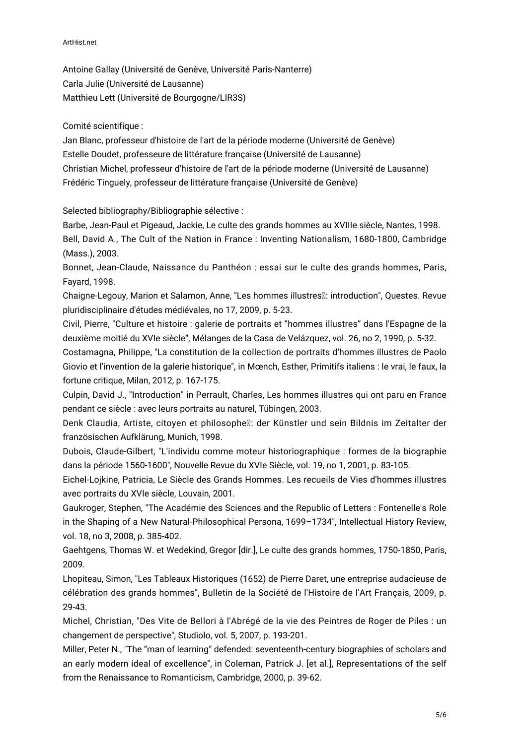## ArtHist.net

Antoine Gallay (Université de Genève, Université Paris-Nanterre) Carla Julie (Université de Lausanne) Matthieu Lett (Université de Bourgogne/LIR3S)

Comité scientifique :

Jan Blanc, professeur d'histoire de l'art de la période moderne (Université de Genève) Estelle Doudet, professeure de littérature française (Université de Lausanne) Christian Michel, professeur d'histoire de l'art de la période moderne (Université de Lausanne) Frédéric Tinguely, professeur de littérature française (Université de Genève)

Selected bibliography/Bibliographie sélective :

Barbe, Jean-Paul et Pigeaud, Jackie, Le culte des grands hommes au XVIIIe siècle, Nantes, 1998. Bell, David A., The Cult of the Nation in France : Inventing Nationalism, 1680-1800, Cambridge (Mass.), 2003.

Bonnet, Jean-Claude, Naissance du Panthéon : essai sur le culte des grands hommes, Paris, Fayard, 1998.

Chaigne-Legouy, Marion et Salamon, Anne, "Les hommes illustres : introduction", Questes. Revue pluridisciplinaire d'études médiévales, no 17, 2009, p. 5-23.

Civil, Pierre, "Culture et histoire : galerie de portraits et "hommes illustres" dans l'Espagne de la deuxième moitié du XVIe siècle", Mélanges de la Casa de Velázquez, vol. 26, no 2, 1990, p. 5-32.

Costamagna, Philippe, "La constitution de la collection de portraits d'hommes illustres de Paolo Giovio et l'invention de la galerie historique", in Mœnch, Esther, Primitifs italiens : le vrai, le faux, la fortune critique, Milan, 2012, p. 167-175.

Culpin, David J., "Introduction" in Perrault, Charles, Les hommes illustres qui ont paru en France pendant ce siècle : avec leurs portraits au naturel, Tübingen, 2003.

Denk Claudia, Artiste, citoyen et philosophe : der Künstler und sein Bildnis im Zeitalter der französischen Aufklärung, Munich, 1998.

Dubois, Claude-Gilbert, "L'individu comme moteur historiographique : formes de la biographie dans la période 1560-1600", Nouvelle Revue du XVIe Siècle, vol. 19, no 1, 2001, p. 83-105.

Eichel-Lojkine, Patricia, Le Siècle des Grands Hommes. Les recueils de Vies d'hommes illustres avec portraits du XVIe siècle, Louvain, 2001.

Gaukroger, Stephen, "The Académie des Sciences and the Republic of Letters : Fontenelle's Role in the Shaping of a New Natural‐Philosophical Persona, 1699–1734", Intellectual History Review, vol. 18, no 3, 2008, p. 385-402.

Gaehtgens, Thomas W. et Wedekind, Gregor [dir.], Le culte des grands hommes, 1750-1850, Paris, 2009.

Lhopiteau, Simon, "Les Tableaux Historiques (1652) de Pierre Daret, une entreprise audacieuse de célébration des grands hommes", Bulletin de la Société de l'Histoire de l'Art Français, 2009, p. 29-43.

Michel, Christian, "Des Vite de Bellori à l'Abrégé de la vie des Peintres de Roger de Piles : un changement de perspective", Studiolo, vol. 5, 2007, p. 193-201.

Miller, Peter N., "The "man of learning" defended: seventeenth-century biographies of scholars and an early modern ideal of excellence", in Coleman, Patrick J. [et al.], Representations of the self from the Renaissance to Romanticism, Cambridge, 2000, p. 39-62.